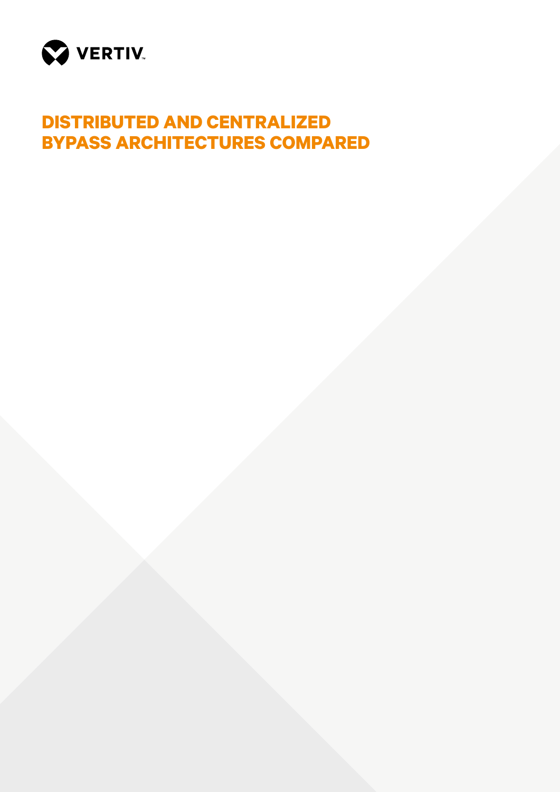

# **DISTRIBUTED AND CENTRALIZED BYPASS ARCHITECTURES COMPARED**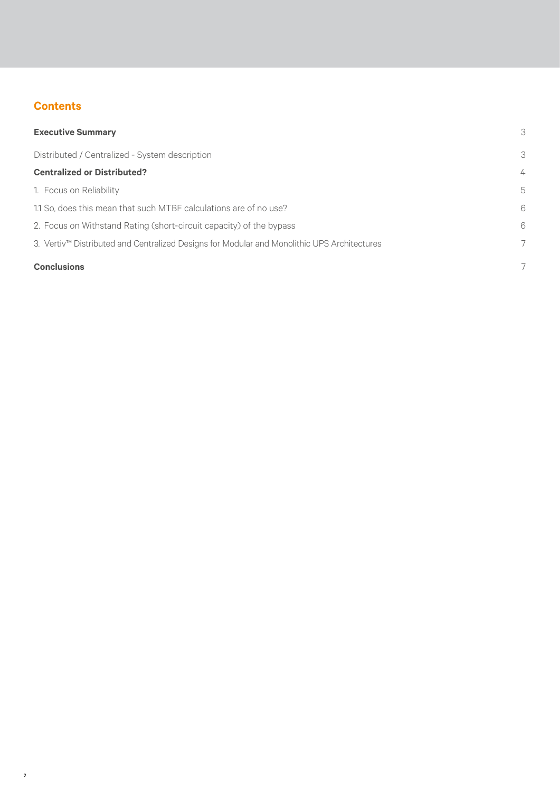## **Contents**

| <b>Executive Summary</b>                                                                    | 3              |
|---------------------------------------------------------------------------------------------|----------------|
| Distributed / Centralized - System description                                              | 3              |
| <b>Centralized or Distributed?</b>                                                          | $\overline{4}$ |
| 1. Focus on Reliability                                                                     | 5              |
| 1.1 So, does this mean that such MTBF calculations are of no use?                           | 6              |
| 2. Focus on Withstand Rating (short-circuit capacity) of the bypass                         | 6              |
| 3. Vertiv™ Distributed and Centralized Designs for Modular and Monolithic UPS Architectures | 7              |
| <b>Conclusions</b>                                                                          | 7              |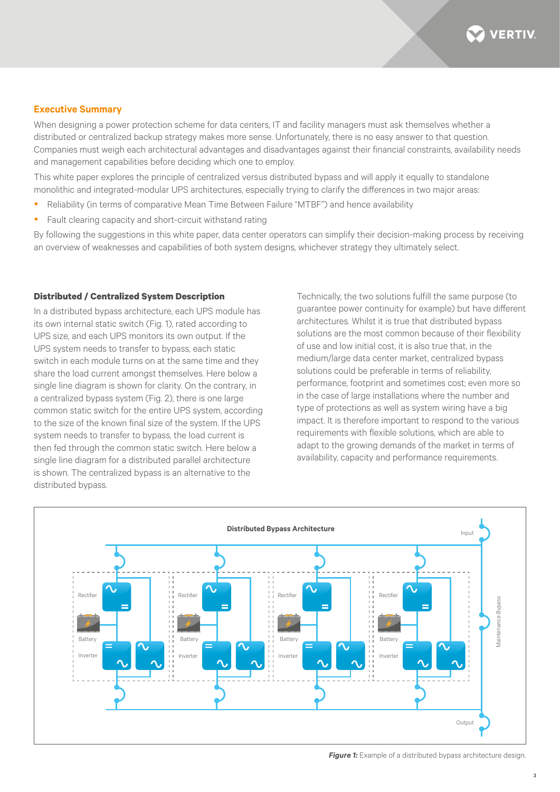

#### **Executive Summary**

When designing a power protection scheme for data centers. IT and facility managers must ask themselves whether a distributed or centralized backup strategy makes more sense. Unfortunately, there is no easy answer to that question. Companies must weigh each architectural advantages and disadvantages against their financial constraints, availability needs and management capabilities before deciding which one to employ.

This white paper explores the principle of centralized versus distributed bypass and will apply it equally to standalone monolithic and integrated-modular UPS architectures, especially trying to clarify the differences in two major areas:

- y Reliability (in terms of comparative Mean Time Between Failure "MTBF") and hence availability
- Fault clearing capacity and short-circuit withstand rating

By following the suggestions in this white paper, data center operators can simplify their decision-making process by receiving an overview of weaknesses and capabilities of both system designs, whichever strategy they ultimately select.

#### **Distributed / Centralized System Description**

In a distributed bypass architecture, each UPS module has its own internal static switch (Fig. 1), rated according to UPS size, and each UPS monitors its own output. If the UPS system needs to transfer to bypass, each static switch in each module turns on at the same time and they share the load current amongst themselves. Here below a single line diagram is shown for clarity. On the contrary, in a centralized bypass system (Fig. 2), there is one large common static switch for the entire UPS system, according to the size of the known final size of the system. If the UPS system needs to transfer to bypass, the load current is then fed through the common static switch. Here below a single line diagram for a distributed parallel architecture is shown. The centralized bypass is an alternative to the distributed bypass.

Technically, the two solutions fulfill the same purpose (to guarantee power continuity for example) but have different architectures. Whilst it is true that distributed bypass solutions are the most common because of their flexibility of use and low initial cost, it is also true that, in the medium/large data center market, centralized bypass solutions could be preferable in terms of reliability, performance, footprint and sometimes cost; even more so in the case of large installations where the number and type of protections as well as system wiring have a big impact. It is therefore important to respond to the various requirements with flexible solutions, which are able to adapt to the growing demands of the market in terms of availability, capacity and performance requirements.



**Figure 1:** Example of a distributed bypass architecture design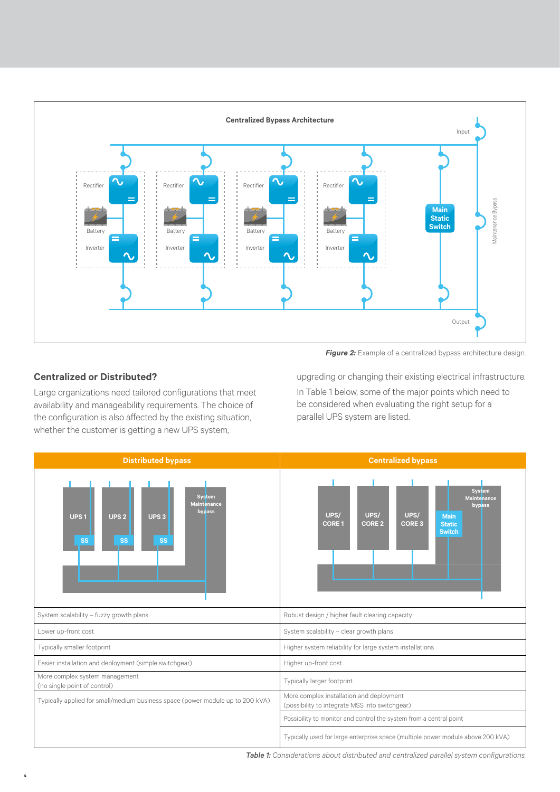

**Figure 2:** Example of a centralized bypass architecture design.

### **Centralized or Distributed?**

Large organizations need tailored configurations that meet availability and manageability requirements. The choice of the configuration is also affected by the existing situation, whether the customer is getting a new UPS system,

upgrading or changing their existing electrical infrastructure. In Table 1 below, some of the major points which need to be considered when evaluating the right setup for a parallel UPS system are listed.



*Table 1: Considerations about distributed and centralized parallel system configurations.*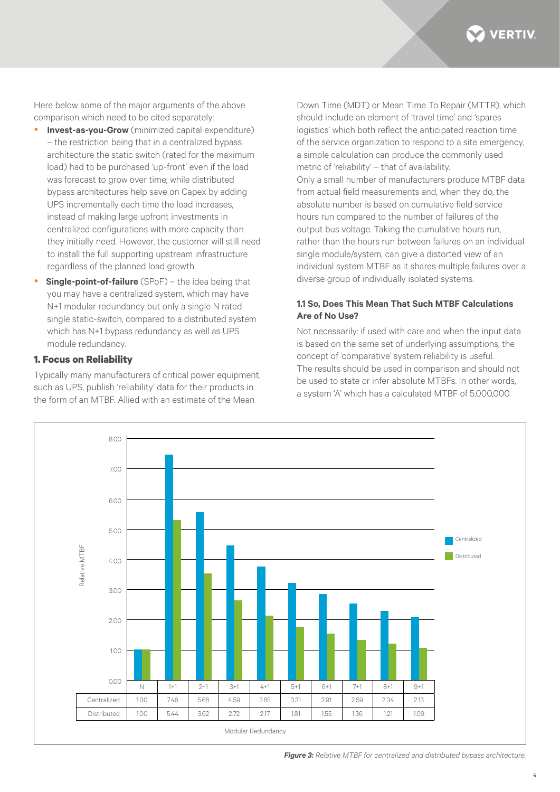**VERTIV** 

Here below some of the major arguments of the above comparison which need to be cited separately:

- **Invest-as-you-Grow** (minimized capital expenditure) – the restriction being that in a centralized bypass architecture the static switch (rated for the maximum load) had to be purchased 'up-front' even if the load was forecast to grow over time; while distributed bypass architectures help save on Capex by adding UPS incrementally each time the load increases, instead of making large upfront investments in centralized configurations with more capacity than they initially need. However, the customer will still need to install the full supporting upstream infrastructure regardless of the planned load growth.
- **Single-point-of-failure** (SPoF) the idea being that you may have a centralized system, which may have N+1 modular redundancy but only a single N rated single static-switch, compared to a distributed system which has N+1 bypass redundancy as well as UPS module redundancy.

#### **1. Focus on Reliability**

Typically many manufacturers of critical power equipment, such as UPS, publish 'reliability' data for their products in the form of an MTBF. Allied with an estimate of the Mean

Down Time (MDT) or Mean Time To Repair (MTTR), which should include an element of 'travel time' and 'spares logistics' which both reflect the anticipated reaction time of the service organization to respond to a site emergency, a simple calculation can produce the commonly used metric of 'reliability' – that of availability. Only a small number of manufacturers produce MTBF data from actual field measurements and, when they do, the absolute number is based on cumulative field service hours run compared to the number of failures of the output bus voltage. Taking the cumulative hours run, rather than the hours run between failures on an individual single module/system, can give a distorted view of an individual system MTBF as it shares multiple failures over a diverse group of individually isolated systems.

#### **1.1 So, Does This Mean That Such MTBF Calculations Are of No Use?**

Not necessarily: if used with care and when the input data is based on the same set of underlying assumptions, the concept of 'comparative' system reliability is useful. The results should be used in comparison and should not be used to state or infer absolute MTBFs. In other words a system 'A' which has a calculated MTBF of 5,000,000



*Figure 3: Relative MTBF for centralized and distributed bypass architecture.*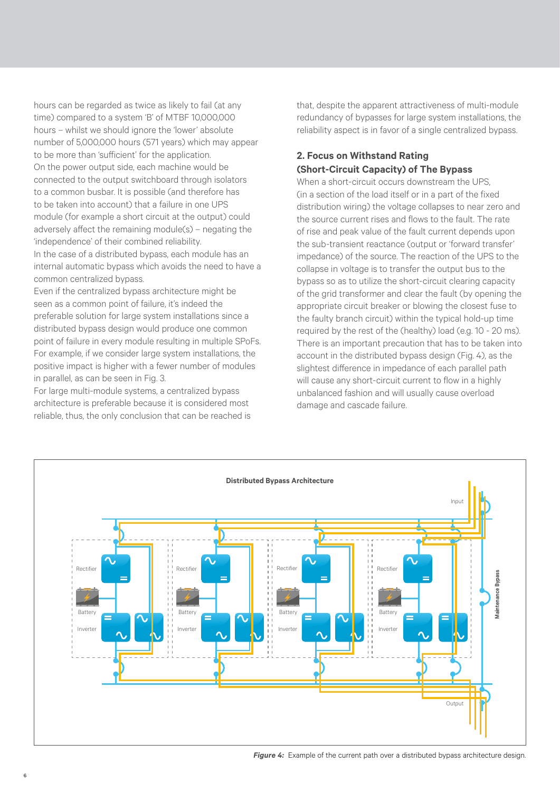hours can be regarded as twice as likely to fail (at any time) compared to a system 'B' of MTBF 10,000,000 hours – whilst we should ignore the 'lower' absolute number of 5,000,000 hours (571 years) which may appear to be more than 'sufficient' for the application. On the power output side, each machine would be connected to the output switchboard through isolators to a common busbar. It is possible (and therefore has to be taken into account) that a failure in one UPS module (for example a short circuit at the output) could adversely affect the remaining module(s) – negating the 'independence' of their combined reliability.

In the case of a distributed bypass, each module has an internal automatic bypass which avoids the need to have a common centralized bypass.

Even if the centralized bypass architecture might be seen as a common point of failure, it's indeed the preferable solution for large system installations since a distributed bypass design would produce one common point of failure in every module resulting in multiple SPoFs. For example, if we consider large system installations, the positive impact is higher with a fewer number of modules in parallel, as can be seen in Fig. 3.

For large multi-module systems, a centralized bypass architecture is preferable because it is considered most reliable, thus, the only conclusion that can be reached is that, despite the apparent attractiveness of multi-module redundancy of bypasses for large system installations, the reliability aspect is in favor of a single centralized bypass.

## **2. Focus on Withstand Rating (Short-Circuit Capacity) of The Bypass**

When a short-circuit occurs downstream the UPS. (in a section of the load itself or in a part of the fixed distribution wiring) the voltage collapses to near zero and the source current rises and flows to the fault. The rate of rise and peak value of the fault current depends upon the sub-transient reactance (output or 'forward transfer' impedance) of the source. The reaction of the UPS to the collapse in voltage is to transfer the output bus to the bypass so as to utilize the short-circuit clearing capacity of the grid transformer and clear the fault (by opening the appropriate circuit breaker or blowing the closest fuse to the faulty branch circuit) within the typical hold-up time required by the rest of the (healthy) load (e.g. 10 - 20 ms). There is an important precaution that has to be taken into account in the distributed bypass design (Fig. 4), as the slightest difference in impedance of each parallel path will cause any short-circuit current to flow in a highly unbalanced fashion and will usually cause overload damage and cascade failure.



*Figure 4:* Example of the current path over a distributed bypass architecture design.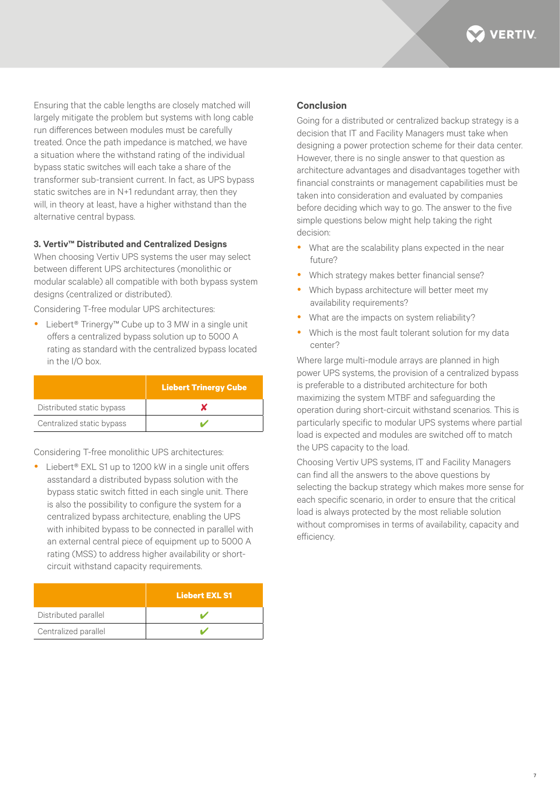

Ensuring that the cable lengths are closely matched will largely mitigate the problem but systems with long cable run differences between modules must be carefully treated. Once the path impedance is matched, we have a situation where the withstand rating of the individual bypass static switches will each take a share of the transformer sub-transient current. In fact, as UPS bypass static switches are in N+1 redundant array, then they will, in theory at least, have a higher withstand than the alternative central bypass.

#### **3. Vertiv™ Distributed and Centralized Designs**

When choosing Vertiv UPS systems the user may select between different UPS architectures (monolithic or modular scalable) all compatible with both bypass system designs (centralized or distributed).

Considering T-free modular UPS architectures:

■ Liebert<sup>®</sup> Trinergy™ Cube up to 3 MW in a single unit offers a centralized bypass solution up to 5000 A rating as standard with the centralized bypass located in the I/O box.

|                           | <b>Liebert Trinergy Cube</b> |
|---------------------------|------------------------------|
| Distributed static bypass |                              |
| Centralized static bypass |                              |

Considering T-free monolithic UPS architectures:

Liebert® EXL S1 up to 1200 kW in a single unit offers asstandard a distributed bypass solution with the bypass static switch fitted in each single unit. There is also the possibility to configure the system for a centralized bypass architecture, enabling the UPS with inhibited bypass to be connected in parallel with an external central piece of equipment up to 5000 A rating (MSS) to address higher availability or shortcircuit withstand capacity requirements.

|                      | <b>Liebert EXL S1</b> |
|----------------------|-----------------------|
| Distributed parallel |                       |
| Centralized parallel |                       |

#### **Conclusion**

Going for a distributed or centralized backup strategy is a decision that IT and Facility Managers must take when designing a power protection scheme for their data center. However, there is no single answer to that question as architecture advantages and disadvantages together with financial constraints or management capabilities must be taken into consideration and evaluated by companies before deciding which way to go. The answer to the five simple questions below might help taking the right decision:

- What are the scalability plans expected in the near future?
- Which strategy makes better financial sense?
- Which bypass architecture will better meet my availability requirements?
- What are the impacts on system reliability?
- Which is the most fault tolerant solution for my data center?

Where large multi-module arrays are planned in high power UPS systems, the provision of a centralized bypass is preferable to a distributed architecture for both maximizing the system MTBF and safeguarding the operation during short-circuit withstand scenarios. This is particularly specific to modular UPS systems where partial load is expected and modules are switched off to match the UPS capacity to the load.

Choosing Vertiv UPS systems, IT and Facility Managers can find all the answers to the above questions by selecting the backup strategy which makes more sense for each specific scenario, in order to ensure that the critical load is always protected by the most reliable solution without compromises in terms of availability, capacity and efficiency.